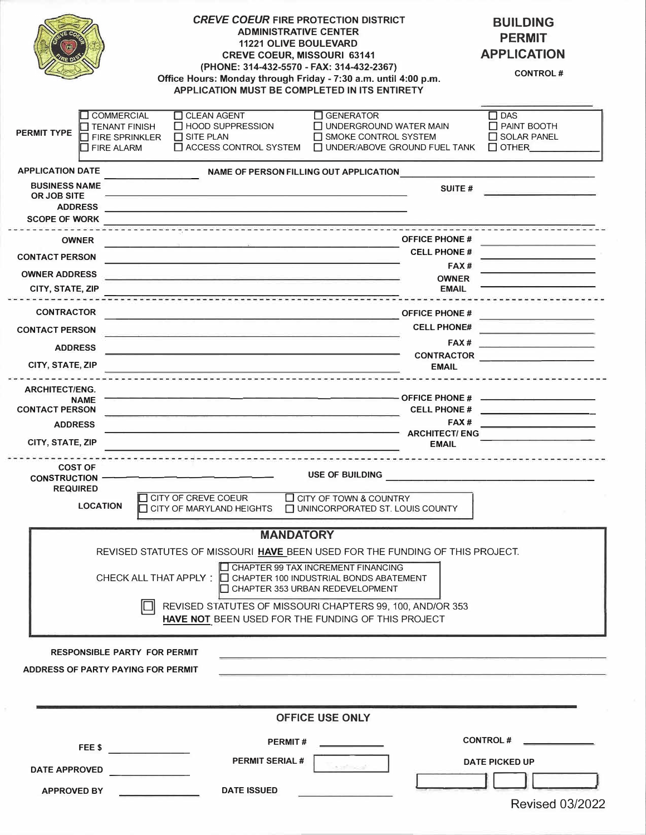|                                                                                                                                                        |                                                                                                                                                      | <b>CREVE COEUR FIRE PROTECTION DISTRICT</b><br><b>ADMINISTRATIVE CENTER</b><br><b>11221 OLIVE BOULEVARD</b><br><b>CREVE COEUR, MISSOURI 63141</b><br>(PHONE: 314-432-5570 - FAX: 314-432-2367)<br>Office Hours: Monday through Friday - 7:30 a.m. until 4:00 p.m.<br>APPLICATION MUST BE COMPLETED IN ITS ENTIRETY |                                     |                                                                                           | <b>BUILDING</b><br><b>PERMIT</b><br><b>APPLICATION</b><br><b>CONTROL#</b>                                                                                                                                                            |  |
|--------------------------------------------------------------------------------------------------------------------------------------------------------|------------------------------------------------------------------------------------------------------------------------------------------------------|--------------------------------------------------------------------------------------------------------------------------------------------------------------------------------------------------------------------------------------------------------------------------------------------------------------------|-------------------------------------|-------------------------------------------------------------------------------------------|--------------------------------------------------------------------------------------------------------------------------------------------------------------------------------------------------------------------------------------|--|
| <b>PERMIT TYPE</b>                                                                                                                                     | <b>COMMERCIAL</b><br>TENANT FINISH<br>T FIRE SPRINKLER<br>T FIRE ALARM                                                                               | <b>CLEAN AGENT</b><br>□ HOOD SUPPRESSION<br>$\Box$ SITE PLAN<br>ACCESS CONTROL SYSTEM                                                                                                                                                                                                                              | $\Box$ GENERATOR                    | □ UNDERGROUND WATER MAIN<br>$\Box$ SMOKE CONTROL SYSTEM<br>T UNDER/ABOVE GROUND FUEL TANK | $\Box$ DAS<br>$\Box$ PAINT BOOTH<br>$\Box$ SOLAR PANEL<br>$\Box$ OTHER                                                                                                                                                               |  |
|                                                                                                                                                        | <b>APPLICATION DATE</b><br>NAME OF PERSON FILLING OUT APPLICATION<br>the contract of the contract of the contract of the contract of the contract of |                                                                                                                                                                                                                                                                                                                    |                                     |                                                                                           |                                                                                                                                                                                                                                      |  |
| <b>BUSINESS NAME</b><br>OR JOB SITE                                                                                                                    |                                                                                                                                                      |                                                                                                                                                                                                                                                                                                                    |                                     | <b>SUITE#</b>                                                                             |                                                                                                                                                                                                                                      |  |
| <b>ADDRESS</b><br><b>SCOPE OF WORK</b>                                                                                                                 |                                                                                                                                                      | <u> 1990 - Jan James James, martin amerikan bizkaitar (h. 1908).</u>                                                                                                                                                                                                                                               |                                     |                                                                                           |                                                                                                                                                                                                                                      |  |
|                                                                                                                                                        |                                                                                                                                                      |                                                                                                                                                                                                                                                                                                                    |                                     | <b>OFFICE PHONE #</b>                                                                     |                                                                                                                                                                                                                                      |  |
| <b>OWNER</b><br><b>CONTACT PERSON</b>                                                                                                                  |                                                                                                                                                      |                                                                                                                                                                                                                                                                                                                    |                                     | <b>CELL PHONE #</b>                                                                       |                                                                                                                                                                                                                                      |  |
| <b>OWNER ADDRESS</b>                                                                                                                                   |                                                                                                                                                      | <u> 1989 - Andrea Stadt Angels, amerikansk politik (d. 1989)</u>                                                                                                                                                                                                                                                   |                                     | FAX#                                                                                      |                                                                                                                                                                                                                                      |  |
| CITY, STATE, ZIP                                                                                                                                       |                                                                                                                                                      |                                                                                                                                                                                                                                                                                                                    |                                     | <b>OWNER</b><br><b>EMAIL</b>                                                              |                                                                                                                                                                                                                                      |  |
| <b>CONTRACTOR</b>                                                                                                                                      |                                                                                                                                                      |                                                                                                                                                                                                                                                                                                                    |                                     | <b>OFFICE PHONE #</b>                                                                     |                                                                                                                                                                                                                                      |  |
| <b>CONTACT PERSON</b>                                                                                                                                  |                                                                                                                                                      | <u> 1980 - Paris III, marejeo eta martean erregea eta martean erregea eta hiria eta hiria eta hiria eta hiria eta</u><br><u> 1980 - Antonio Alemania, matematika amerikan personal dan personal dan personal dan personal dan personal dan</u>                                                                     |                                     | <b>CELL PHONE#</b>                                                                        | <u>and the second company of the second company of the second company of the second company of the second company of the second company of the second company of the second company of the second company of the second company </u> |  |
| <b>ADDRESS</b>                                                                                                                                         |                                                                                                                                                      | <u> 2002 - 2003 - 2003 - 2003 - 2003 - 2003 - 2004 - 2005 - 2006 - 2007 - 2008 - 200</u>                                                                                                                                                                                                                           |                                     |                                                                                           |                                                                                                                                                                                                                                      |  |
| CITY, STATE, ZIP                                                                                                                                       |                                                                                                                                                      |                                                                                                                                                                                                                                                                                                                    |                                     | <b>EMAIL</b>                                                                              | CONTRACTOR                                                                                                                                                                                                                           |  |
| <b>ARCHITECT/ENG.</b>                                                                                                                                  |                                                                                                                                                      |                                                                                                                                                                                                                                                                                                                    |                                     |                                                                                           |                                                                                                                                                                                                                                      |  |
| <b>NAME</b><br><b>CONTACT PERSON</b>                                                                                                                   |                                                                                                                                                      |                                                                                                                                                                                                                                                                                                                    |                                     |                                                                                           | $-$ OFFICE PHONE # $-$<br>CELL PHONE #                                                                                                                                                                                               |  |
| <b>ADDRESS</b>                                                                                                                                         |                                                                                                                                                      |                                                                                                                                                                                                                                                                                                                    |                                     | FAX#                                                                                      | <u> 1989 - Andrea Station Andrew Maria (1989)</u>                                                                                                                                                                                    |  |
| CITY, STATE, ZIP                                                                                                                                       |                                                                                                                                                      |                                                                                                                                                                                                                                                                                                                    |                                     | <b>ARCHITECT/ ENG</b><br><b>EMAIL</b>                                                     |                                                                                                                                                                                                                                      |  |
|                                                                                                                                                        |                                                                                                                                                      |                                                                                                                                                                                                                                                                                                                    |                                     |                                                                                           |                                                                                                                                                                                                                                      |  |
| <b>COST OF</b><br><b>CONSTRUCTION -</b>                                                                                                                |                                                                                                                                                      | _______________________________                                                                                                                                                                                                                                                                                    | <b>USE OF BUILDING</b>              |                                                                                           |                                                                                                                                                                                                                                      |  |
| <b>REQUIRED</b>                                                                                                                                        |                                                                                                                                                      | CITY OF CREVE COEUR                                                                                                                                                                                                                                                                                                | <b>O CITY OF TOWN &amp; COUNTRY</b> |                                                                                           |                                                                                                                                                                                                                                      |  |
|                                                                                                                                                        | <b>LOCATION</b>                                                                                                                                      | CITY OF MARYLAND HEIGHTS □ UNINCORPORATED ST. LOUIS COUNTY                                                                                                                                                                                                                                                         |                                     |                                                                                           |                                                                                                                                                                                                                                      |  |
| <b>MANDATORY</b>                                                                                                                                       |                                                                                                                                                      |                                                                                                                                                                                                                                                                                                                    |                                     |                                                                                           |                                                                                                                                                                                                                                      |  |
| REVISED STATUTES OF MISSOURI HAVE BEEN USED FOR THE FUNDING OF THIS PROJECT.                                                                           |                                                                                                                                                      |                                                                                                                                                                                                                                                                                                                    |                                     |                                                                                           |                                                                                                                                                                                                                                      |  |
| <b>IO CHAPTER 99 TAX INCREMENT FINANCING</b><br>CHECK ALL THAT APPLY :<br>I□ CHAPTER 100 INDUSTRIAL BONDS ABATEMENT<br>CHAPTER 353 URBAN REDEVELOPMENT |                                                                                                                                                      |                                                                                                                                                                                                                                                                                                                    |                                     |                                                                                           |                                                                                                                                                                                                                                      |  |
| REVISED STATUTES OF MISSOURI CHAPTERS 99, 100, AND/OR 353                                                                                              |                                                                                                                                                      |                                                                                                                                                                                                                                                                                                                    |                                     |                                                                                           |                                                                                                                                                                                                                                      |  |
|                                                                                                                                                        |                                                                                                                                                      | HAVE NOT BEEN USED FOR THE FUNDING OF THIS PROJECT                                                                                                                                                                                                                                                                 |                                     |                                                                                           |                                                                                                                                                                                                                                      |  |
|                                                                                                                                                        |                                                                                                                                                      |                                                                                                                                                                                                                                                                                                                    |                                     |                                                                                           |                                                                                                                                                                                                                                      |  |
| <b>RESPONSIBLE PARTY FOR PERMIT</b><br>ADDRESS OF PARTY PAYING FOR PERMIT                                                                              |                                                                                                                                                      |                                                                                                                                                                                                                                                                                                                    |                                     |                                                                                           |                                                                                                                                                                                                                                      |  |
|                                                                                                                                                        |                                                                                                                                                      |                                                                                                                                                                                                                                                                                                                    |                                     |                                                                                           |                                                                                                                                                                                                                                      |  |
|                                                                                                                                                        |                                                                                                                                                      |                                                                                                                                                                                                                                                                                                                    |                                     |                                                                                           |                                                                                                                                                                                                                                      |  |
| <b>OFFICE USE ONLY</b>                                                                                                                                 |                                                                                                                                                      |                                                                                                                                                                                                                                                                                                                    |                                     |                                                                                           |                                                                                                                                                                                                                                      |  |
|                                                                                                                                                        | FEE \$                                                                                                                                               |                                                                                                                                                                                                                                                                                                                    | <b>PERMIT#</b>                      |                                                                                           | <b>CONTROL#</b>                                                                                                                                                                                                                      |  |
|                                                                                                                                                        |                                                                                                                                                      | <b>PERMIT SERIAL#</b>                                                                                                                                                                                                                                                                                              | a setma di                          |                                                                                           | <b>DATE PICKED UP</b>                                                                                                                                                                                                                |  |
| <b>DATE APPROVED</b>                                                                                                                                   |                                                                                                                                                      |                                                                                                                                                                                                                                                                                                                    |                                     |                                                                                           |                                                                                                                                                                                                                                      |  |
| <b>APPROVED BY</b>                                                                                                                                     |                                                                                                                                                      | <b>DATE ISSUED</b>                                                                                                                                                                                                                                                                                                 |                                     |                                                                                           | <b>Revised 03/2022</b>                                                                                                                                                                                                               |  |
|                                                                                                                                                        |                                                                                                                                                      |                                                                                                                                                                                                                                                                                                                    |                                     |                                                                                           |                                                                                                                                                                                                                                      |  |